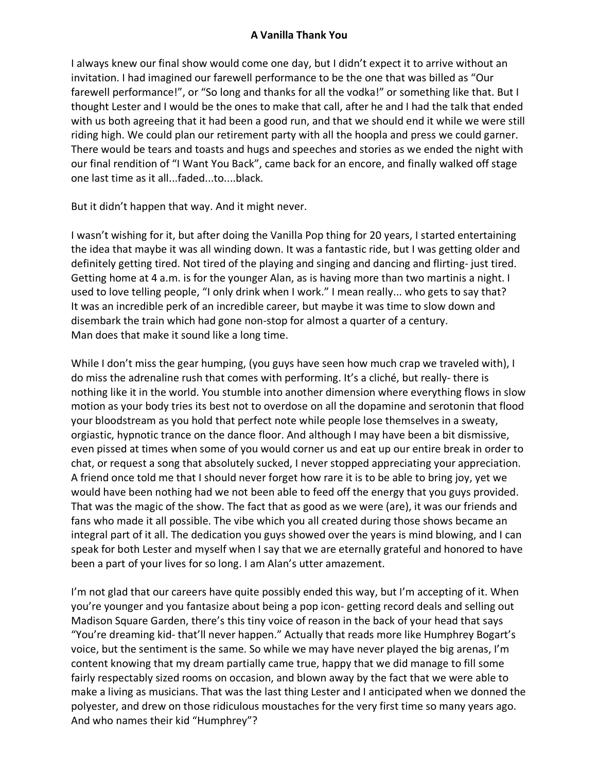## **A Vanilla Thank You**

I always knew our final show would come one day, but I didn't expect it to arrive without an invitation. I had imagined our farewell performance to be the one that was billed as "Our farewell performance!", or "So long and thanks for all the vodka!" or something like that. But I thought Lester and I would be the ones to make that call, after he and I had the talk that ended with us both agreeing that it had been a good run, and that we should end it while we were still riding high. We could plan our retirement party with all the hoopla and press we could garner. There would be tears and toasts and hugs and speeches and stories as we ended the night with our final rendition of "I Want You Back", came back for an encore, and finally walked off stage one last time as it all...faded...to....black.

But it didn't happen that way. And it might never.

I wasn't wishing for it, but after doing the Vanilla Pop thing for 20 years, I started entertaining the idea that maybe it was all winding down. It was a fantastic ride, but I was getting older and definitely getting tired. Not tired of the playing and singing and dancing and flirting- just tired. Getting home at 4 a.m. is for the younger Alan, as is having more than two martinis a night. I used to love telling people, "I only drink when I work." I mean really... who gets to say that? It was an incredible perk of an incredible career, but maybe it was time to slow down and disembark the train which had gone non-stop for almost a quarter of a century. Man does that make it sound like a long time.

While I don't miss the gear humping, (you guys have seen how much crap we traveled with), I do miss the adrenaline rush that comes with performing. It's a cliché, but really- there is nothing like it in the world. You stumble into another dimension where everything flows in slow motion as your body tries its best not to overdose on all the dopamine and serotonin that flood your bloodstream as you hold that perfect note while people lose themselves in a sweaty, orgiastic, hypnotic trance on the dance floor. And although I may have been a bit dismissive, even pissed at times when some of you would corner us and eat up our entire break in order to chat, or request a song that absolutely sucked, I never stopped appreciating your appreciation. A friend once told me that I should never forget how rare it is to be able to bring joy, yet we would have been nothing had we not been able to feed off the energy that you guys provided. That was the magic of the show. The fact that as good as we were (are), it was our friends and fans who made it all possible. The vibe which you all created during those shows became an integral part of it all. The dedication you guys showed over the years is mind blowing, and I can speak for both Lester and myself when I say that we are eternally grateful and honored to have been a part of your lives for so long. I am Alan's utter amazement.

I'm not glad that our careers have quite possibly ended this way, but I'm accepting of it. When you're younger and you fantasize about being a pop icon- getting record deals and selling out Madison Square Garden, there's this tiny voice of reason in the back of your head that says "You're dreaming kid- that'll never happen." Actually that reads more like Humphrey Bogart's voice, but the sentiment is the same. So while we may have never played the big arenas, I'm content knowing that my dream partially came true, happy that we did manage to fill some fairly respectably sized rooms on occasion, and blown away by the fact that we were able to make a living as musicians. That was the last thing Lester and I anticipated when we donned the polyester, and drew on those ridiculous moustaches for the very first time so many years ago. And who names their kid "Humphrey"?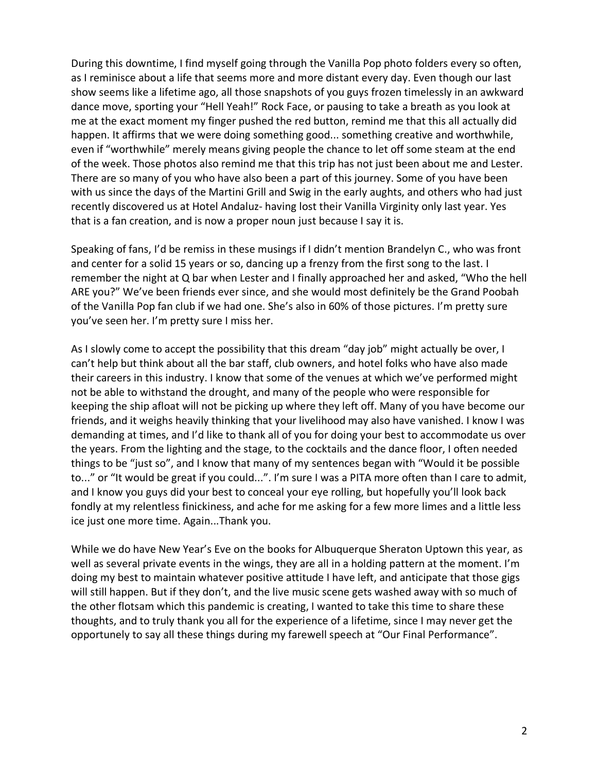During this downtime, I find myself going through the Vanilla Pop photo folders every so often, as I reminisce about a life that seems more and more distant every day. Even though our last show seems like a lifetime ago, all those snapshots of you guys frozen timelessly in an awkward dance move, sporting your "Hell Yeah!" Rock Face, or pausing to take a breath as you look at me at the exact moment my finger pushed the red button, remind me that this all actually did happen. It affirms that we were doing something good... something creative and worthwhile, even if "worthwhile" merely means giving people the chance to let off some steam at the end of the week. Those photos also remind me that this trip has not just been about me and Lester. There are so many of you who have also been a part of this journey. Some of you have been with us since the days of the Martini Grill and Swig in the early aughts, and others who had just recently discovered us at Hotel Andaluz- having lost their Vanilla Virginity only last year. Yes that is a fan creation, and is now a proper noun just because I say it is.

Speaking of fans, I'd be remiss in these musings if I didn't mention Brandelyn C., who was front and center for a solid 15 years or so, dancing up a frenzy from the first song to the last. I remember the night at Q bar when Lester and I finally approached her and asked, "Who the hell ARE you?" We've been friends ever since, and she would most definitely be the Grand Poobah of the Vanilla Pop fan club if we had one. She's also in 60% of those pictures. I'm pretty sure you've seen her. I'm pretty sure I miss her.

As I slowly come to accept the possibility that this dream "day job" might actually be over, I can't help but think about all the bar staff, club owners, and hotel folks who have also made their careers in this industry. I know that some of the venues at which we've performed might not be able to withstand the drought, and many of the people who were responsible for keeping the ship afloat will not be picking up where they left off. Many of you have become our friends, and it weighs heavily thinking that your livelihood may also have vanished. I know I was demanding at times, and I'd like to thank all of you for doing your best to accommodate us over the years. From the lighting and the stage, to the cocktails and the dance floor, I often needed things to be "just so", and I know that many of my sentences began with "Would it be possible to..." or "It would be great if you could...". I'm sure I was a PITA more often than I care to admit, and I know you guys did your best to conceal your eye rolling, but hopefully you'll look back fondly at my relentless finickiness, and ache for me asking for a few more limes and a little less ice just one more time. Again...Thank you.

While we do have New Year's Eve on the books for Albuquerque Sheraton Uptown this year, as well as several private events in the wings, they are all in a holding pattern at the moment. I'm doing my best to maintain whatever positive attitude I have left, and anticipate that those gigs will still happen. But if they don't, and the live music scene gets washed away with so much of the other flotsam which this pandemic is creating, I wanted to take this time to share these thoughts, and to truly thank you all for the experience of a lifetime, since I may never get the opportunely to say all these things during my farewell speech at "Our Final Performance".